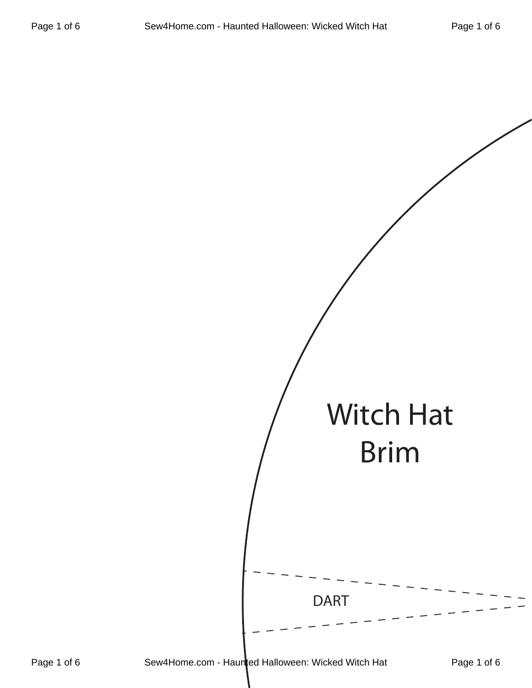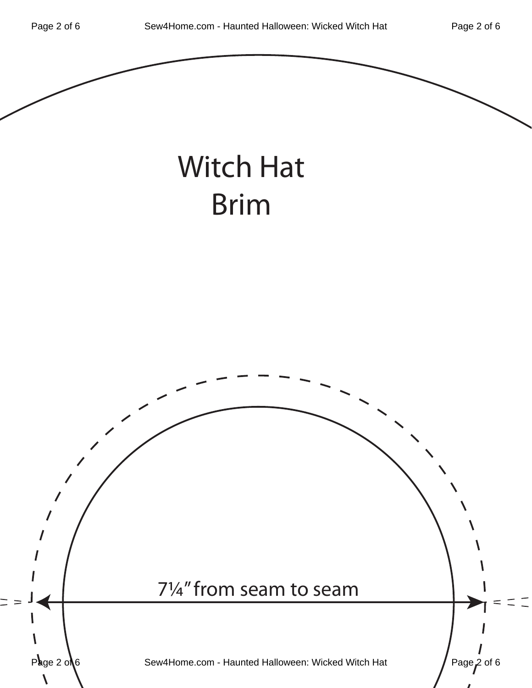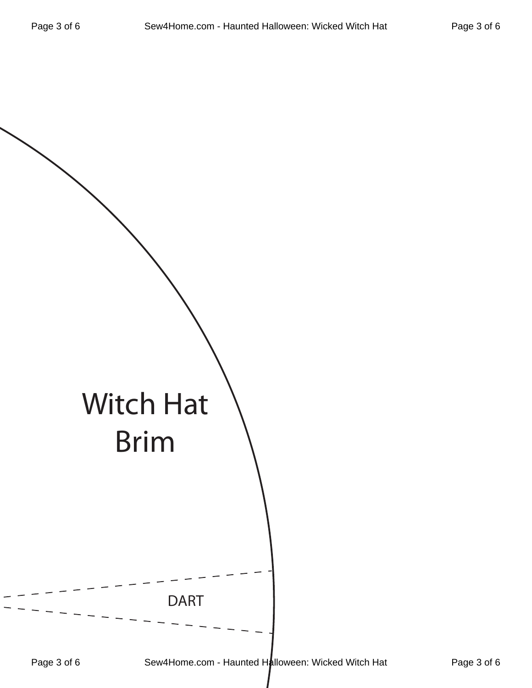|            | <b>Witch Hat</b>                                                |         |
|------------|-----------------------------------------------------------------|---------|
| Dao 2 of E | <b>Brim</b><br><b>DART</b><br>$C_{\text{OM}}/L_{\text{OM}}$ com | امبرمكا |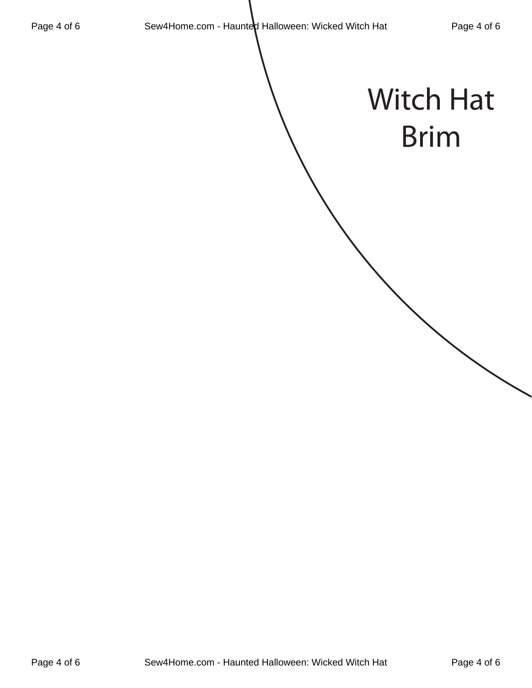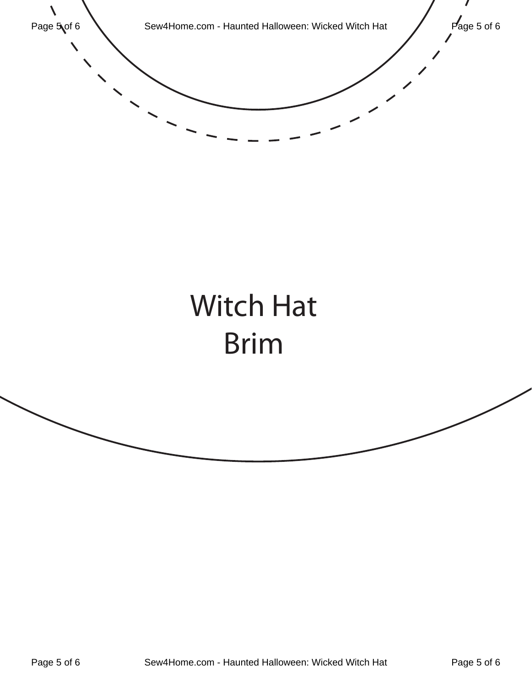

## Witch Hat Brim